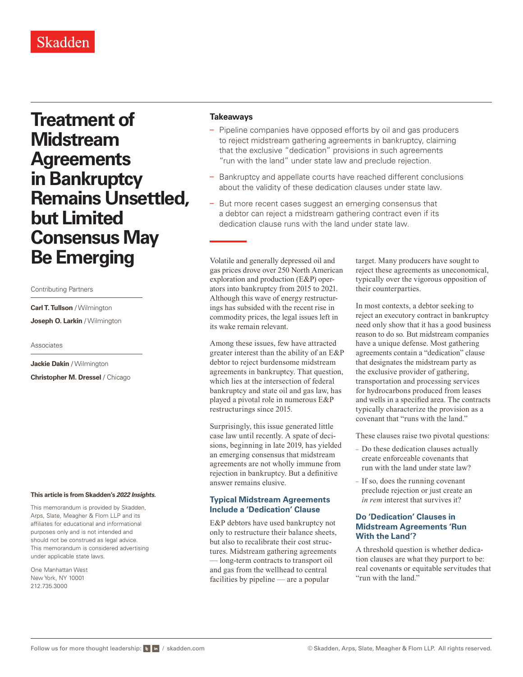**Treatment of Midstream Agreements in Bankruptcy Remains Unsettled, but Limited Consensus May Be Emerging**

Contributing Partners

**Carl T. Tullson** / Wilmington **Joseph O. Larkin** / Wilmington

Associates

**Jackie Dakin** / Wilmington **Christopher M. Dressel** / Chicago

#### **This article is from Skadden's** *[2022 Insights](https://www.skadden.com/insights/publications/2022/01/2022-insights/2022-insights)***.**

This memorandum is provided by Skadden, Arps, Slate, Meagher & Flom LLP and its affiliates for educational and informational purposes only and is not intended and should not be construed as legal advice. This memorandum is considered advertising under applicable state laws.

One Manhattan West New York, NY 10001 212.735.3000

#### **Takeaways**

- Pipeline companies have opposed efforts by oil and gas producers to reject midstream gathering agreements in bankruptcy, claiming that the exclusive "dedication" provisions in such agreements "run with the land" under state law and preclude rejection.
- Bankruptcy and appellate courts have reached different conclusions about the validity of these dedication clauses under state law.
- But more recent cases suggest an emerging consensus that a debtor can reject a midstream gathering contract even if its dedication clause runs with the land under state law.

Volatile and generally depressed oil and gas prices drove over 250 North American exploration and production (E&P) operators into bankruptcy from 2015 to 2021. Although this wave of energy restructurings has subsided with the recent rise in commodity prices, the legal issues left in its wake remain relevant.

Among these issues, few have attracted greater interest than the ability of an E&P debtor to reject burdensome midstream agreements in bankruptcy. That question, which lies at the intersection of federal bankruptcy and state oil and gas law, has played a pivotal role in numerous E&P restructurings since 2015.

Surprisingly, this issue generated little case law until recently. A spate of decisions, beginning in late 2019, has yielded an emerging consensus that midstream agreements are not wholly immune from rejection in bankruptcy. But a definitive answer remains elusive.

## **Typical Midstream Agreements Include a 'Dedication' Clause**

E&P debtors have used bankruptcy not only to restructure their balance sheets, but also to recalibrate their cost structures. Midstream gathering agreements — long-term contracts to transport oil and gas from the wellhead to central facilities by pipeline — are a popular

target. Many producers have sought to reject these agreements as uneconomical, typically over the vigorous opposition of their counterparties.

In most contexts, a debtor seeking to reject an executory contract in bankruptcy need only show that it has a good business reason to do so. But midstream companies have a unique defense. Most gathering agreements contain a "dedication" clause that designates the midstream party as the exclusive provider of gathering, transportation and processing services for hydrocarbons produced from leases and wells in a specified area. The contracts typically characterize the provision as a covenant that "runs with the land."

These clauses raise two pivotal questions:

- Do these dedication clauses actually create enforceable covenants that run with the land under state law?
- If so, does the running covenant preclude rejection or just create an *in rem* interest that survives it?

## **Do 'Dedication' Clauses in Midstream Agreements 'Run With the Land'?**

A threshold question is whether dedication clauses are what they purport to be: real covenants or equitable servitudes that "run with the land."